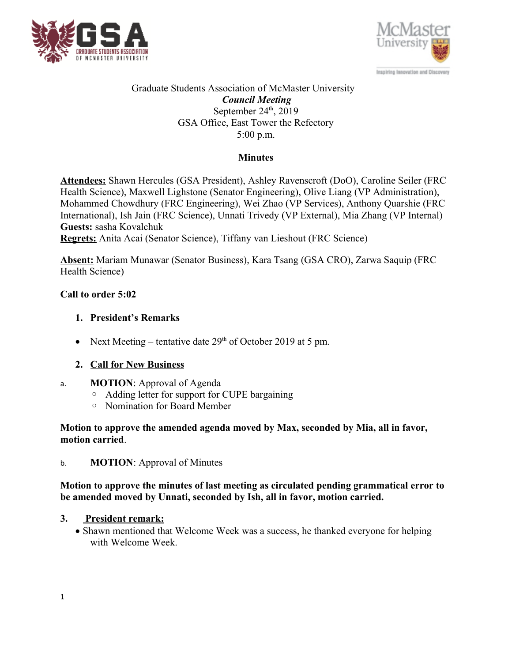



### Graduate Students Association of McMaster University *Council Meeting* September  $24<sup>th</sup>$ , 2019 GSA Office, East Tower the Refectory 5:00 p.m.

## **Minutes**

**Attendees:** Shawn Hercules (GSA President), Ashley Ravenscroft (DoO), Caroline Seiler (FRC Health Science), Maxwell Lighstone (Senator Engineering), Olive Liang (VP Administration), Mohammed Chowdhury (FRC Engineering), Wei Zhao (VP Services), Anthony Quarshie (FRC International), Ish Jain (FRC Science), Unnati Trivedy (VP External), Mia Zhang (VP Internal) **Guests:** sasha Kovalchuk

**Regrets:** Anita Acai (Senator Science), Tiffany van Lieshout (FRC Science)

**Absent:** Mariam Munawar (Senator Business), Kara Tsang (GSA CRO), Zarwa Saquip (FRC Health Science)

## **Call to order 5:02**

## **1. President's Remarks**

• Next Meeting – tentative date  $29<sup>th</sup>$  of October 2019 at 5 pm.

## **2. Call for New Business**

- a. **MOTION**: Approval of Agenda
	- Adding letter for support for CUPE bargaining
	- Nomination for Board Member

### **Motion to approve the amended agenda moved by Max, seconded by Mia, all in favor, motion carried**.

b. **MOTION**: Approval of Minutes

### **Motion to approve the minutes of last meeting as circulated pending grammatical error to be amended moved by Unnati, seconded by Ish, all in favor, motion carried.**

## **3. President remark:**

• Shawn mentioned that Welcome Week was a success, he thanked everyone for helping with Welcome Week.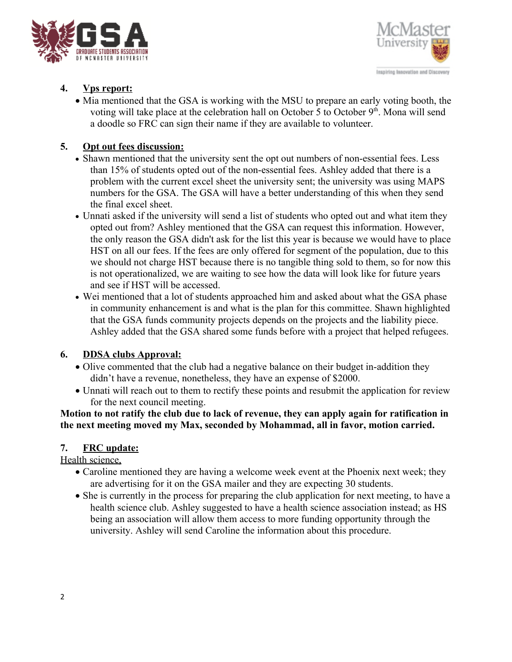



# **4. Vps report:**

• Mia mentioned that the GSA is working with the MSU to prepare an early voting booth, the voting will take place at the celebration hall on October 5 to October  $9<sup>th</sup>$ . Mona will send a doodle so FRC can sign their name if they are available to volunteer.

## **5. Opt out fees discussion:**

- Shawn mentioned that the university sent the opt out numbers of non-essential fees. Less than 15% of students opted out of the non-essential fees. Ashley added that there is a problem with the current excel sheet the university sent; the university was using MAPS numbers for the GSA. The GSA will have a better understanding of this when they send the final excel sheet.
- Unnati asked if the university will send a list of students who opted out and what item they opted out from? Ashley mentioned that the GSA can request this information. However, the only reason the GSA didn't ask for the list this year is because we would have to place HST on all our fees. If the fees are only offered for segment of the population, due to this we should not charge HST because there is no tangible thing sold to them, so for now this is not operationalized, we are waiting to see how the data will look like for future years and see if HST will be accessed.
- Wei mentioned that a lot of students approached him and asked about what the GSA phase in community enhancement is and what is the plan for this committee. Shawn highlighted that the GSA funds community projects depends on the projects and the liability piece. Ashley added that the GSA shared some funds before with a project that helped refugees.

## **6. DDSA clubs Approval:**

- Olive commented that the club had a negative balance on their budget in-addition they didn't have a revenue, nonetheless, they have an expense of \$2000.
- Unnati will reach out to them to rectify these points and resubmit the application for review for the next council meeting.

**Motion to not ratify the club due to lack of revenue, they can apply again for ratification in the next meeting moved my Max, seconded by Mohammad, all in favor, motion carried.**

## **7. FRC update:**

Health science,

- Caroline mentioned they are having a welcome week event at the Phoenix next week; they are advertising for it on the GSA mailer and they are expecting 30 students.
- She is currently in the process for preparing the club application for next meeting, to have a health science club. Ashley suggested to have a health science association instead; as HS being an association will allow them access to more funding opportunity through the university. Ashley will send Caroline the information about this procedure.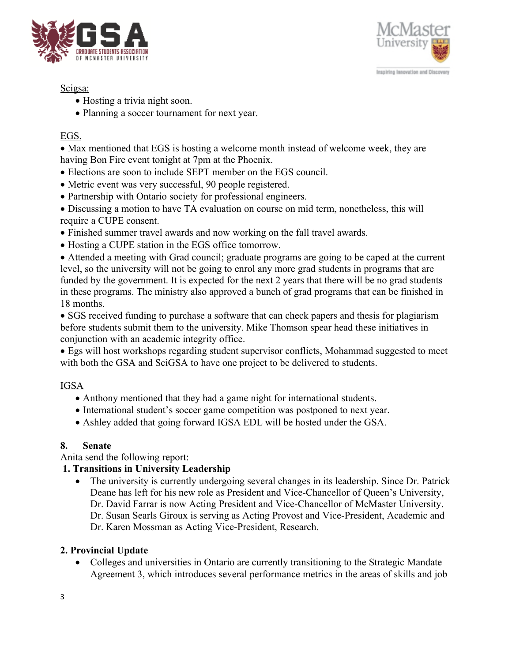



## Scigsa:

- Hosting a trivia night soon.
- Planning a soccer tournament for next year.

# EGS,

 Max mentioned that EGS is hosting a welcome month instead of welcome week, they are having Bon Fire event tonight at 7pm at the Phoenix.

- Elections are soon to include SEPT member on the EGS council.
- Metric event was very successful, 90 people registered.
- Partnership with Ontario society for professional engineers.
- Discussing a motion to have TA evaluation on course on mid term, nonetheless, this will require a CUPE consent.
- Finished summer travel awards and now working on the fall travel awards.
- Hosting a CUPE station in the EGS office tomorrow.

 Attended a meeting with Grad council; graduate programs are going to be caped at the current level, so the university will not be going to enrol any more grad students in programs that are funded by the government. It is expected for the next 2 years that there will be no grad students in these programs. The ministry also approved a bunch of grad programs that can be finished in 18 months.

• SGS received funding to purchase a software that can check papers and thesis for plagiarism before students submit them to the university. Mike Thomson spear head these initiatives in conjunction with an academic integrity office.

 Egs will host workshops regarding student supervisor conflicts, Mohammad suggested to meet with both the GSA and SciGSA to have one project to be delivered to students.

# IGSA

- Anthony mentioned that they had a game night for international students.
- International student's soccer game competition was postponed to next year.
- Ashley added that going forward IGSA EDL will be hosted under the GSA.

# **8. Senate**

Anita send the following report:

## **1. Transitions in University Leadership**

• The university is currently undergoing several changes in its leadership. Since Dr. Patrick Deane has left for his new role as President and Vice-Chancellor of Queen's University, Dr. David Farrar is now Acting President and Vice-Chancellor of McMaster University.

Dr. Susan Searls Giroux is serving as Acting Provost and Vice-President, Academic and

Dr. Karen Mossman as Acting Vice-President, Research.

## **2. Provincial Update**

 Colleges and universities in Ontario are currently transitioning to the Strategic Mandate Agreement 3, which introduces several performance metrics in the areas of skills and job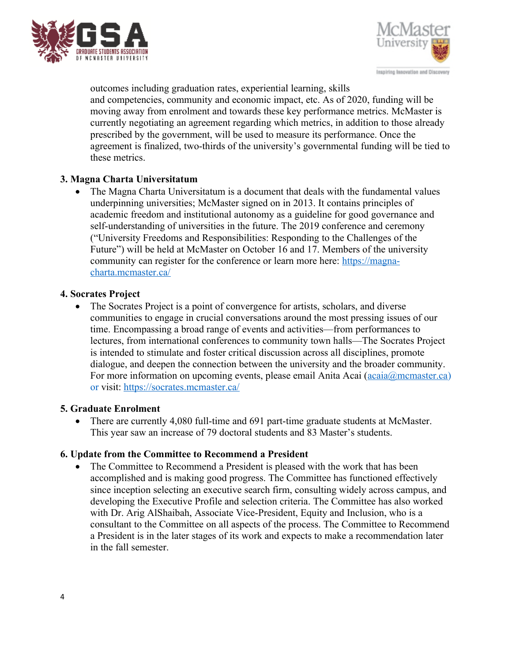



outcomes including graduation rates, experiential learning, skills and competencies, community and economic impact, etc. As of 2020, funding will be moving away from enrolment and towards these key performance metrics. McMaster is currently negotiating an agreement regarding which metrics, in addition to those already prescribed by the government, will be used to measure its performance. Once the agreement is finalized, two-thirds of the university's governmental funding will be tied to these metrics.

## **3. Magna Charta Universitatum**

• The Magna Charta Universitatum is a document that deals with the fundamental values underpinning universities; McMaster signed on in 2013. It contains principles of academic freedom and institutional autonomy as a guideline for good governance and self-understanding of universities in the future. The 2019 conference and ceremony ("University Freedoms and Responsibilities: Responding to the Challenges of the Future") will be held at McMaster on October 16 and 17. Members of the university community can register for the conference or learn more here: [https://magna](https://magna-charta.mcmaster.ca/)[charta.mcmaster.ca/](https://magna-charta.mcmaster.ca/)

#### **4. Socrates Project**

 The Socrates Project is a point of convergence for artists, scholars, and diverse communities to engage in crucial conversations around the most pressing issues of our time. Encompassing a broad range of events and activities—from performances to lectures, from international conferences to community town halls—The Socrates Project is intended to stimulate and foster critical discussion across all disciplines, promote dialogue, and deepen the connection between the university and the broader community. For more information on upcoming events, please email Anita Acai ([acaia@mcmaster.ca\)](mailto:acaia@mcmaster.ca) or visit:<https://socrates.mcmaster.ca/>

#### **5. Graduate Enrolment**

 There are currently 4,080 full-time and 691 part-time graduate students at McMaster. This year saw an increase of 79 doctoral students and 83 Master's students.

#### **6. Update from the Committee to Recommend a President**

 The Committee to Recommend a President is pleased with the work that has been accomplished and is making good progress. The Committee has functioned effectively since inception selecting an executive search firm, consulting widely across campus, and developing the Executive Profile and selection criteria. The Committee has also worked with Dr. Arig AlShaibah, Associate Vice-President, Equity and Inclusion, who is a consultant to the Committee on all aspects of the process. The Committee to Recommend a President is in the later stages of its work and expects to make a recommendation later in the fall semester.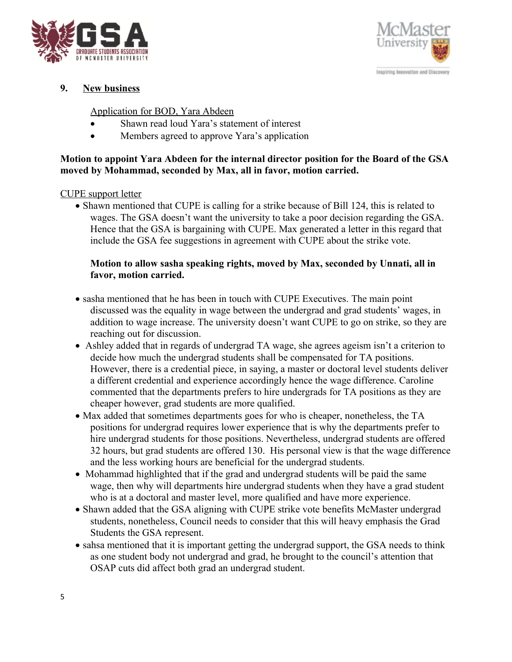



## **9. New business**

#### Application for BOD, Yara Abdeen

- Shawn read loud Yara's statement of interest
- Members agreed to approve Yara's application

### **Motion to appoint Yara Abdeen for the internal director position for the Board of the GSA moved by Mohammad, seconded by Max, all in favor, motion carried.**

#### CUPE support letter

• Shawn mentioned that CUPE is calling for a strike because of Bill 124, this is related to wages. The GSA doesn't want the university to take a poor decision regarding the GSA. Hence that the GSA is bargaining with CUPE. Max generated a letter in this regard that include the GSA fee suggestions in agreement with CUPE about the strike vote.

### **Motion to allow sasha speaking rights, moved by Max, seconded by Unnati, all in favor, motion carried.**

- sasha mentioned that he has been in touch with CUPE Executives. The main point discussed was the equality in wage between the undergrad and grad students' wages, in addition to wage increase. The university doesn't want CUPE to go on strike, so they are reaching out for discussion.
- Ashley added that in regards of undergrad TA wage, she agrees ageism isn't a criterion to decide how much the undergrad students shall be compensated for TA positions. However, there is a credential piece, in saying, a master or doctoral level students deliver a different credential and experience accordingly hence the wage difference. Caroline commented that the departments prefers to hire undergrads for TA positions as they are cheaper however, grad students are more qualified.
- Max added that sometimes departments goes for who is cheaper, nonetheless, the TA positions for undergrad requires lower experience that is why the departments prefer to hire undergrad students for those positions. Nevertheless, undergrad students are offered 32 hours, but grad students are offered 130. His personal view is that the wage difference and the less working hours are beneficial for the undergrad students.
- Mohammad highlighted that if the grad and undergrad students will be paid the same wage, then why will departments hire undergrad students when they have a grad student who is at a doctoral and master level, more qualified and have more experience.
- Shawn added that the GSA aligning with CUPE strike vote benefits McMaster undergrad students, nonetheless, Council needs to consider that this will heavy emphasis the Grad Students the GSA represent.
- sahsa mentioned that it is important getting the undergrad support, the GSA needs to think as one student body not undergrad and grad, he brought to the council's attention that OSAP cuts did affect both grad an undergrad student.